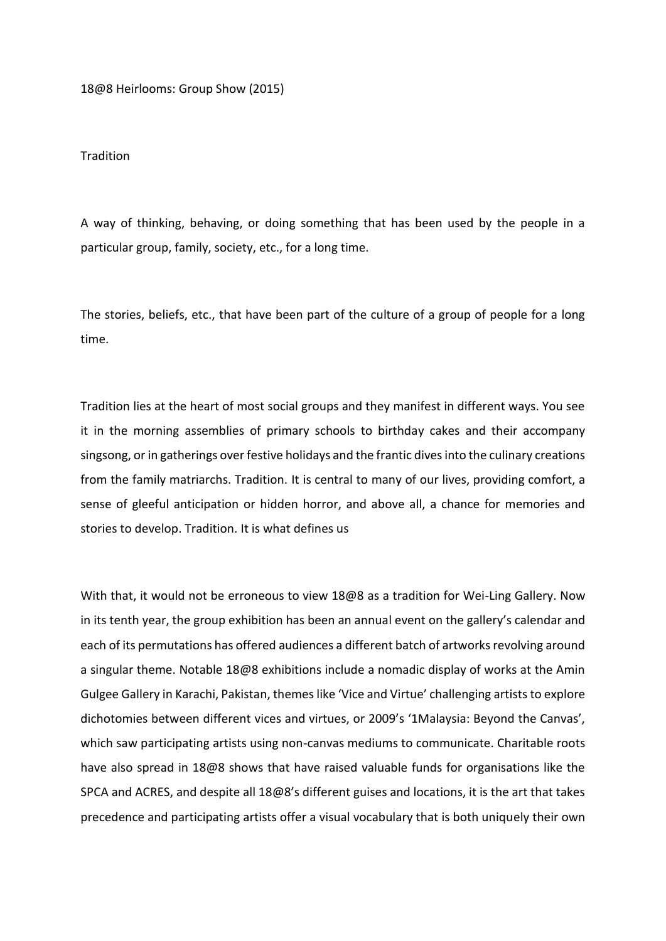18@8 Heirlooms: Group Show (2015)

**Tradition** 

A way of thinking, behaving, or doing something that has been used by the people in a particular group, family, society, etc., for a long time.

The stories, beliefs, etc., that have been part of the culture of a group of people for a long time.

Tradition lies at the heart of most social groups and they manifest in different ways. You see it in the morning assemblies of primary schools to birthday cakes and their accompany singsong, or in gatherings over festive holidays and the frantic dives into the culinary creations from the family matriarchs. Tradition. It is central to many of our lives, providing comfort, a sense of gleeful anticipation or hidden horror, and above all, a chance for memories and stories to develop. Tradition. It is what defines us

With that, it would not be erroneous to view 18@8 as a tradition for Wei-Ling Gallery. Now in its tenth year, the group exhibition has been an annual event on the gallery's calendar and each of its permutations has offered audiences a different batch of artworks revolving around a singular theme. Notable 18@8 exhibitions include a nomadic display of works at the Amin Gulgee Gallery in Karachi, Pakistan, themes like 'Vice and Virtue' challenging artists to explore dichotomies between different vices and virtues, or 2009's '1Malaysia: Beyond the Canvas', which saw participating artists using non-canvas mediums to communicate. Charitable roots have also spread in 18@8 shows that have raised valuable funds for organisations like the SPCA and ACRES, and despite all 18@8's different guises and locations, it is the art that takes precedence and participating artists offer a visual vocabulary that is both uniquely their own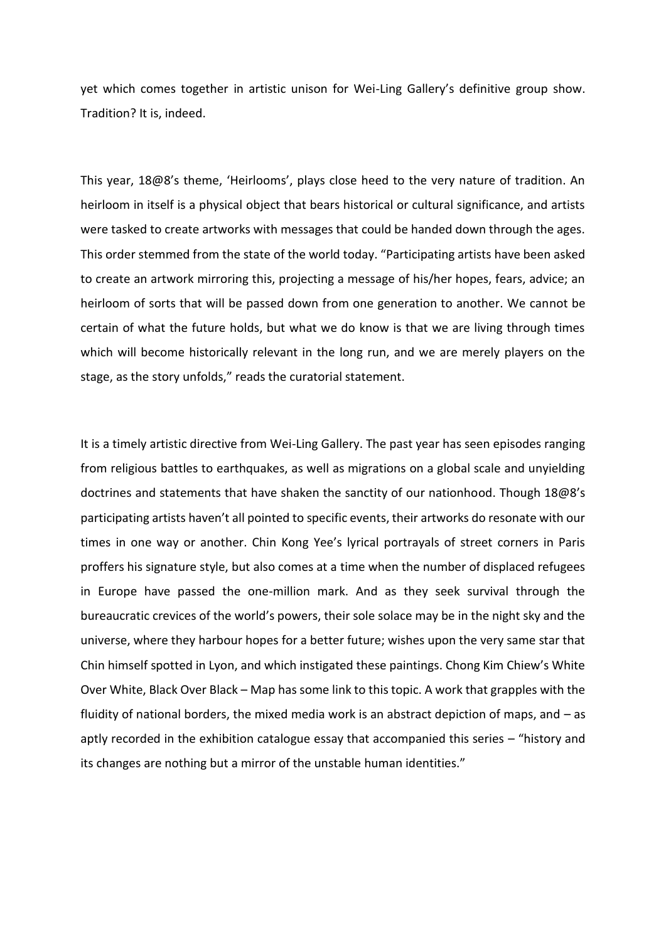yet which comes together in artistic unison for Wei-Ling Gallery's definitive group show. Tradition? It is, indeed.

This year, 18@8's theme, 'Heirlooms', plays close heed to the very nature of tradition. An heirloom in itself is a physical object that bears historical or cultural significance, and artists were tasked to create artworks with messages that could be handed down through the ages. This order stemmed from the state of the world today. "Participating artists have been asked to create an artwork mirroring this, projecting a message of his/her hopes, fears, advice; an heirloom of sorts that will be passed down from one generation to another. We cannot be certain of what the future holds, but what we do know is that we are living through times which will become historically relevant in the long run, and we are merely players on the stage, as the story unfolds," reads the curatorial statement.

It is a timely artistic directive from Wei-Ling Gallery. The past year has seen episodes ranging from religious battles to earthquakes, as well as migrations on a global scale and unyielding doctrines and statements that have shaken the sanctity of our nationhood. Though 18@8's participating artists haven't all pointed to specific events, their artworks do resonate with our times in one way or another. Chin Kong Yee's lyrical portrayals of street corners in Paris proffers his signature style, but also comes at a time when the number of displaced refugees in Europe have passed the one-million mark. And as they seek survival through the bureaucratic crevices of the world's powers, their sole solace may be in the night sky and the universe, where they harbour hopes for a better future; wishes upon the very same star that Chin himself spotted in Lyon, and which instigated these paintings. Chong Kim Chiew's White Over White, Black Over Black – Map has some link to this topic. A work that grapples with the fluidity of national borders, the mixed media work is an abstract depiction of maps, and – as aptly recorded in the exhibition catalogue essay that accompanied this series – "history and its changes are nothing but a mirror of the unstable human identities."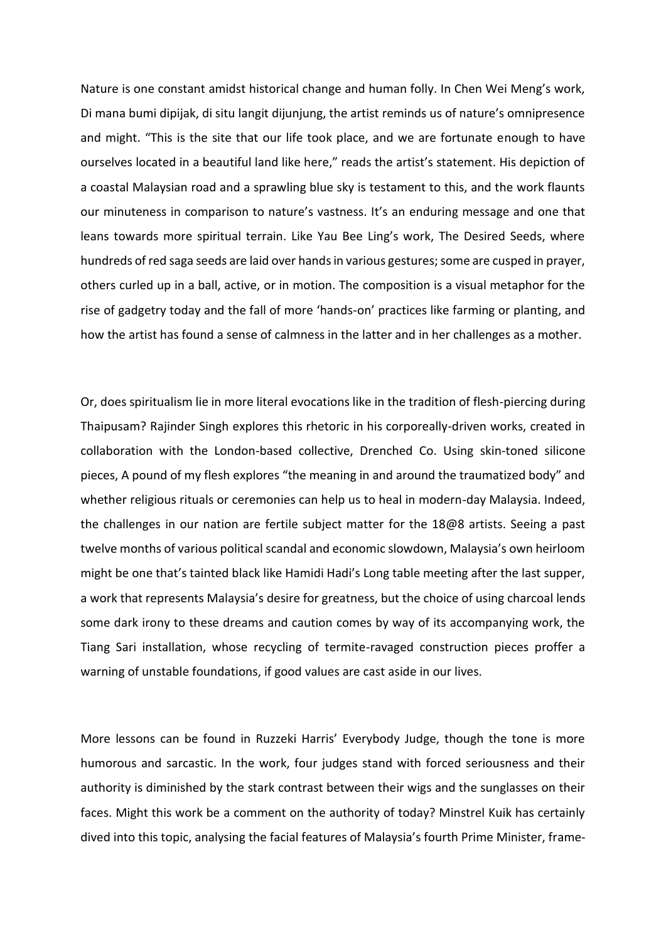Nature is one constant amidst historical change and human folly. In Chen Wei Meng's work, Di mana bumi dipijak, di situ langit dijunjung, the artist reminds us of nature's omnipresence and might. "This is the site that our life took place, and we are fortunate enough to have ourselves located in a beautiful land like here," reads the artist's statement. His depiction of a coastal Malaysian road and a sprawling blue sky is testament to this, and the work flaunts our minuteness in comparison to nature's vastness. It's an enduring message and one that leans towards more spiritual terrain. Like Yau Bee Ling's work, The Desired Seeds, where hundreds of red saga seeds are laid over hands in various gestures; some are cusped in prayer, others curled up in a ball, active, or in motion. The composition is a visual metaphor for the rise of gadgetry today and the fall of more 'hands-on' practices like farming or planting, and how the artist has found a sense of calmness in the latter and in her challenges as a mother.

Or, does spiritualism lie in more literal evocations like in the tradition of flesh-piercing during Thaipusam? Rajinder Singh explores this rhetoric in his corporeally-driven works, created in collaboration with the London-based collective, Drenched Co. Using skin-toned silicone pieces, A pound of my flesh explores "the meaning in and around the traumatized body" and whether religious rituals or ceremonies can help us to heal in modern-day Malaysia. Indeed, the challenges in our nation are fertile subject matter for the 18@8 artists. Seeing a past twelve months of various political scandal and economic slowdown, Malaysia's own heirloom might be one that's tainted black like Hamidi Hadi's Long table meeting after the last supper, a work that represents Malaysia's desire for greatness, but the choice of using charcoal lends some dark irony to these dreams and caution comes by way of its accompanying work, the Tiang Sari installation, whose recycling of termite-ravaged construction pieces proffer a warning of unstable foundations, if good values are cast aside in our lives.

More lessons can be found in Ruzzeki Harris' Everybody Judge, though the tone is more humorous and sarcastic. In the work, four judges stand with forced seriousness and their authority is diminished by the stark contrast between their wigs and the sunglasses on their faces. Might this work be a comment on the authority of today? Minstrel Kuik has certainly dived into this topic, analysing the facial features of Malaysia's fourth Prime Minister, frame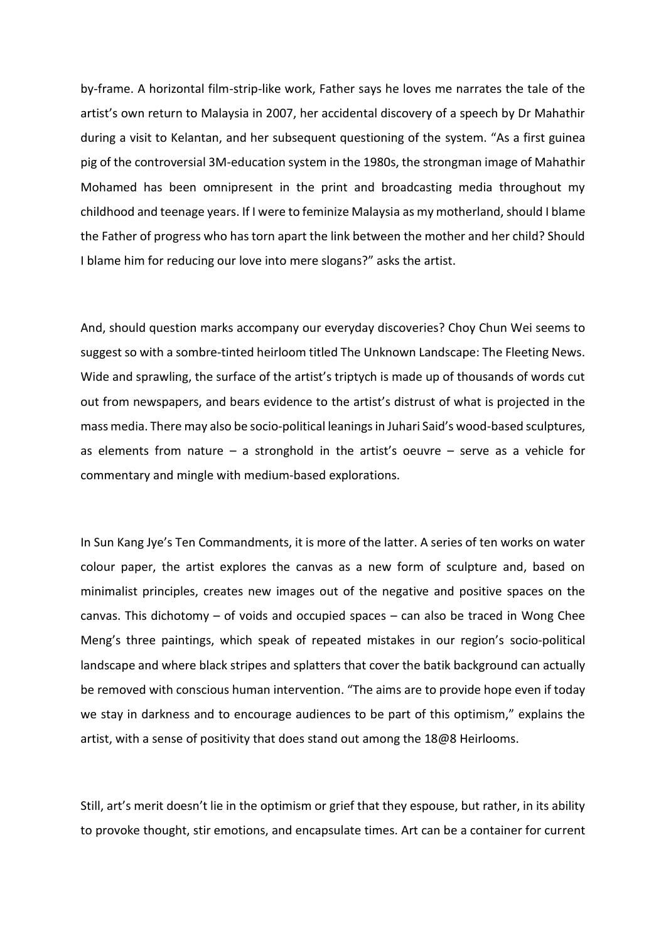by-frame. A horizontal film-strip-like work, Father says he loves me narrates the tale of the artist's own return to Malaysia in 2007, her accidental discovery of a speech by Dr Mahathir during a visit to Kelantan, and her subsequent questioning of the system. "As a first guinea pig of the controversial 3M-education system in the 1980s, the strongman image of Mahathir Mohamed has been omnipresent in the print and broadcasting media throughout my childhood and teenage years. If I were to feminize Malaysia as my motherland, should I blame the Father of progress who has torn apart the link between the mother and her child? Should I blame him for reducing our love into mere slogans?" asks the artist.

And, should question marks accompany our everyday discoveries? Choy Chun Wei seems to suggest so with a sombre-tinted heirloom titled The Unknown Landscape: The Fleeting News. Wide and sprawling, the surface of the artist's triptych is made up of thousands of words cut out from newspapers, and bears evidence to the artist's distrust of what is projected in the mass media. There may also be socio-political leanings in Juhari Said's wood-based sculptures, as elements from nature  $-$  a stronghold in the artist's oeuvre  $-$  serve as a vehicle for commentary and mingle with medium-based explorations.

In Sun Kang Jye's Ten Commandments, it is more of the latter. A series of ten works on water colour paper, the artist explores the canvas as a new form of sculpture and, based on minimalist principles, creates new images out of the negative and positive spaces on the canvas. This dichotomy – of voids and occupied spaces – can also be traced in Wong Chee Meng's three paintings, which speak of repeated mistakes in our region's socio-political landscape and where black stripes and splatters that cover the batik background can actually be removed with conscious human intervention. "The aims are to provide hope even if today we stay in darkness and to encourage audiences to be part of this optimism," explains the artist, with a sense of positivity that does stand out among the 18@8 Heirlooms.

Still, art's merit doesn't lie in the optimism or grief that they espouse, but rather, in its ability to provoke thought, stir emotions, and encapsulate times. Art can be a container for current